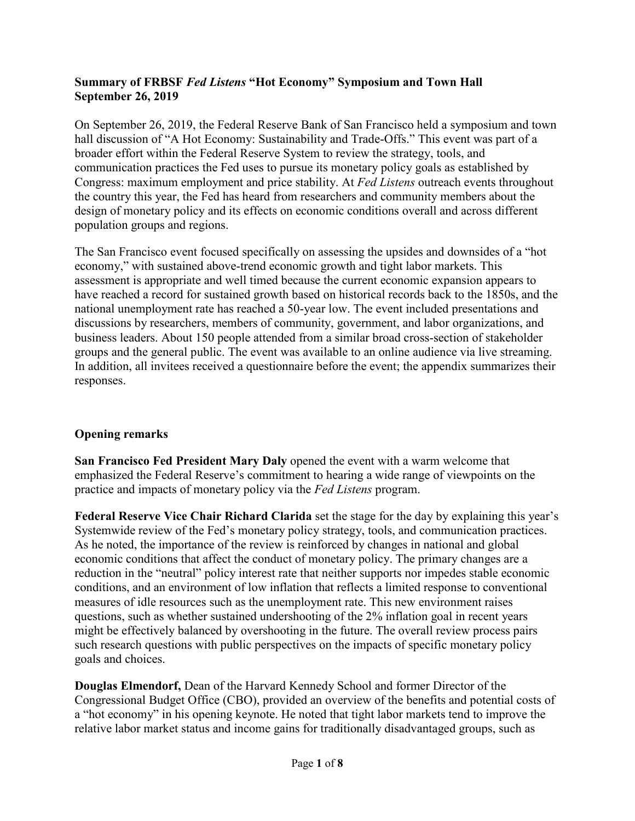#### **Summary of FRBSF** *Fed Listens* **"Hot Economy" Symposium and Town Hall September 26, 2019**

On September 26, 2019, the Federal Reserve Bank of San Francisco held a symposium and town hall discussion of "A Hot Economy: Sustainability and Trade-Offs." This event was part of a broader effort within the Federal Reserve System to review the strategy, tools, and communication practices the Fed uses to pursue its monetary policy goals as established by Congress: maximum employment and price stability. At *Fed Listens* [outreach events](https://www.federalreserve.gov/monetarypolicy/review-of-monetary-policy-strategy-tools-and-communications-fed-listens-events.htm) throughout the country this year, the Fed has heard from researchers and community members about the design of monetary policy and its effects on economic conditions overall and across different population groups and regions.

The San Francisco event focused specifically on assessing the upsides and downsides of a "hot economy," with sustained above-trend economic growth and tight labor markets. This assessment is appropriate and well timed because the current economic expansion appears to have reached a record for sustained growth based on historical records back to the 1850s, and the national unemployment rate has reached a 50-year low. The event included presentations and discussions by researchers, members of community, government, and labor organizations, and business leaders. About 150 people attended from a similar broad cross-section of stakeholder groups and the general public. The event was available to an online audience via live streaming. In addition, all invitees received a questionnaire before the event; the appendix summarizes their responses.

# **Opening remarks**

**San Francisco Fed President Mary Daly** opened the event with a warm welcome that emphasized the Federal Reserve's commitment to hearing a wide range of viewpoints on the practice and impacts of monetary policy via the *Fed Listens* program.

**Federal Reserve Vice Chair Richard Clarida** set the stage for the day by explaining this year's Systemwide review of the Fed's monetary policy strategy, tools, and communication practices. As he noted, the importance of the review is reinforced by changes in national and global economic conditions that affect the conduct of monetary policy. The primary changes are a reduction in the "neutral" policy interest rate that neither supports nor impedes stable economic conditions, and an environment of low inflation that reflects a limited response to conventional measures of idle resources such as the unemployment rate. This new environment raises questions, such as whether sustained undershooting of the 2% inflation goal in recent years might be effectively balanced by overshooting in the future. The overall review process pairs such research questions with public perspectives on the impacts of specific monetary policy goals and choices.

**Douglas Elmendorf,** Dean of the Harvard Kennedy School and former Director of the Congressional Budget Office (CBO), provided an overview of the benefits and potential costs of a "hot economy" in his opening keynote. He noted that tight labor markets tend to improve the relative labor market status and income gains for traditionally disadvantaged groups, such as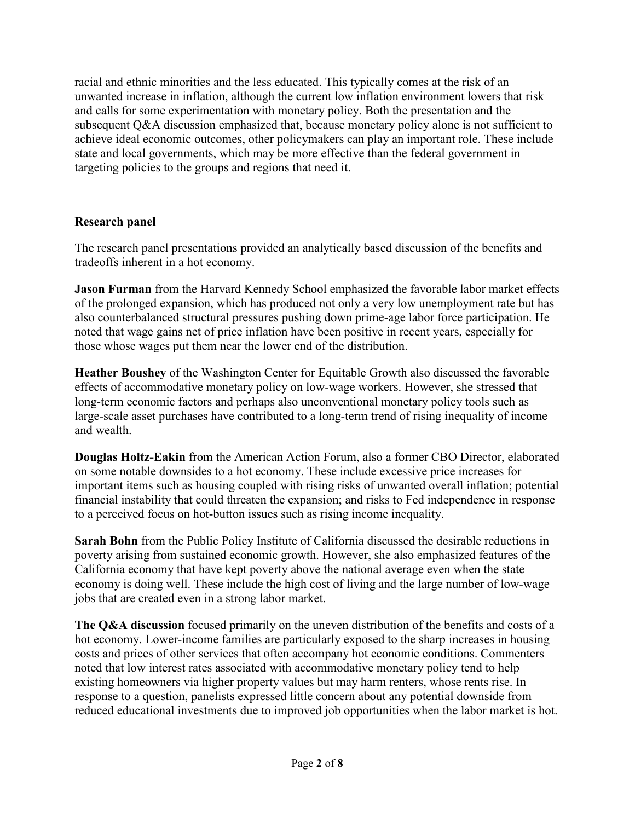racial and ethnic minorities and the less educated. This typically comes at the risk of an unwanted increase in inflation, although the current low inflation environment lowers that risk and calls for some experimentation with monetary policy. Both the presentation and the subsequent Q&A discussion emphasized that, because monetary policy alone is not sufficient to achieve ideal economic outcomes, other policymakers can play an important role. These include state and local governments, which may be more effective than the federal government in targeting policies to the groups and regions that need it.

# **Research panel**

The research panel presentations provided an analytically based discussion of the benefits and tradeoffs inherent in a hot economy.

**Jason Furman** from the Harvard Kennedy School emphasized the favorable labor market effects of the prolonged expansion, which has produced not only a very low unemployment rate but has also counterbalanced structural pressures pushing down prime-age labor force participation. He noted that wage gains net of price inflation have been positive in recent years, especially for those whose wages put them near the lower end of the distribution.

**Heather Boushey** of the Washington Center for Equitable Growth also discussed the favorable effects of accommodative monetary policy on low-wage workers. However, she stressed that long-term economic factors and perhaps also unconventional monetary policy tools such as large-scale asset purchases have contributed to a long-term trend of rising inequality of income and wealth.

**Douglas Holtz-Eakin** from the American Action Forum, also a former CBO Director, elaborated on some notable downsides to a hot economy. These include excessive price increases for important items such as housing coupled with rising risks of unwanted overall inflation; potential financial instability that could threaten the expansion; and risks to Fed independence in response to a perceived focus on hot-button issues such as rising income inequality.

**Sarah Bohn** from the Public Policy Institute of California discussed the desirable reductions in poverty arising from sustained economic growth. However, she also emphasized features of the California economy that have kept poverty above the national average even when the state economy is doing well. These include the high cost of living and the large number of low-wage jobs that are created even in a strong labor market.

**The Q&A discussion** focused primarily on the uneven distribution of the benefits and costs of a hot economy. Lower-income families are particularly exposed to the sharp increases in housing costs and prices of other services that often accompany hot economic conditions. Commenters noted that low interest rates associated with accommodative monetary policy tend to help existing homeowners via higher property values but may harm renters, whose rents rise. In response to a question, panelists expressed little concern about any potential downside from reduced educational investments due to improved job opportunities when the labor market is hot.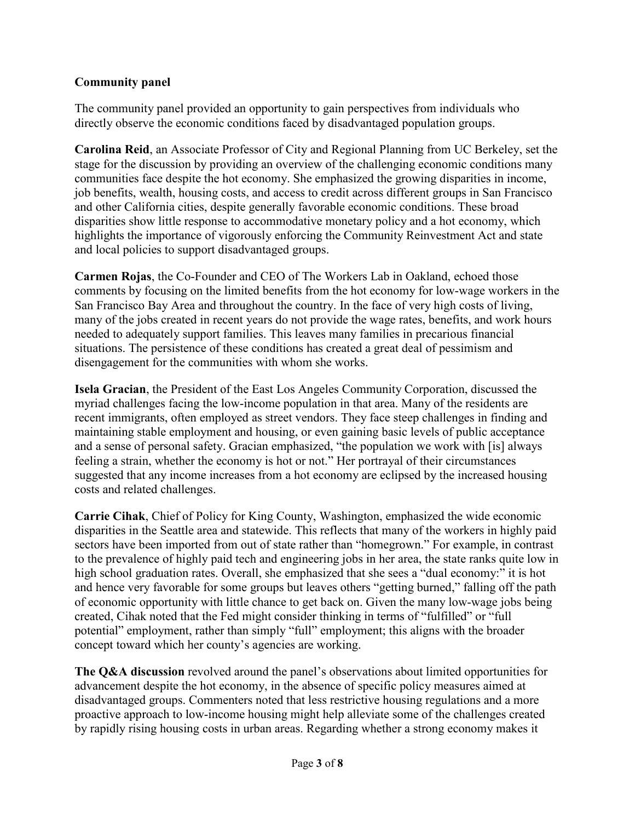# **Community panel**

The community panel provided an opportunity to gain perspectives from individuals who directly observe the economic conditions faced by disadvantaged population groups.

**Carolina Reid**, an Associate Professor of City and Regional Planning from UC Berkeley, set the stage for the discussion by providing an overview of the challenging economic conditions many communities face despite the hot economy. She emphasized the growing disparities in income, job benefits, wealth, housing costs, and access to credit across different groups in San Francisco and other California cities, despite generally favorable economic conditions. These broad disparities show little response to accommodative monetary policy and a hot economy, which highlights the importance of vigorously enforcing the Community Reinvestment Act and state and local policies to support disadvantaged groups.

**Carmen Rojas**, the Co-Founder and CEO of The Workers Lab in Oakland, echoed those comments by focusing on the limited benefits from the hot economy for low-wage workers in the San Francisco Bay Area and throughout the country. In the face of very high costs of living, many of the jobs created in recent years do not provide the wage rates, benefits, and work hours needed to adequately support families. This leaves many families in precarious financial situations. The persistence of these conditions has created a great deal of pessimism and disengagement for the communities with whom she works.

**Isela Gracian**, the President of the East Los Angeles Community Corporation, discussed the myriad challenges facing the low-income population in that area. Many of the residents are recent immigrants, often employed as street vendors. They face steep challenges in finding and maintaining stable employment and housing, or even gaining basic levels of public acceptance and a sense of personal safety. Gracian emphasized, "the population we work with [is] always feeling a strain, whether the economy is hot or not." Her portrayal of their circumstances suggested that any income increases from a hot economy are eclipsed by the increased housing costs and related challenges.

**Carrie Cihak**, Chief of Policy for King County, Washington, emphasized the wide economic disparities in the Seattle area and statewide. This reflects that many of the workers in highly paid sectors have been imported from out of state rather than "homegrown." For example, in contrast to the prevalence of highly paid tech and engineering jobs in her area, the state ranks quite low in high school graduation rates. Overall, she emphasized that she sees a "dual economy:" it is hot and hence very favorable for some groups but leaves others "getting burned," falling off the path of economic opportunity with little chance to get back on. Given the many low-wage jobs being created, Cihak noted that the Fed might consider thinking in terms of "fulfilled" or "full potential" employment, rather than simply "full" employment; this aligns with the broader concept toward which her county's agencies are working.

**The Q&A discussion** revolved around the panel's observations about limited opportunities for advancement despite the hot economy, in the absence of specific policy measures aimed at disadvantaged groups. Commenters noted that less restrictive housing regulations and a more proactive approach to low-income housing might help alleviate some of the challenges created by rapidly rising housing costs in urban areas. Regarding whether a strong economy makes it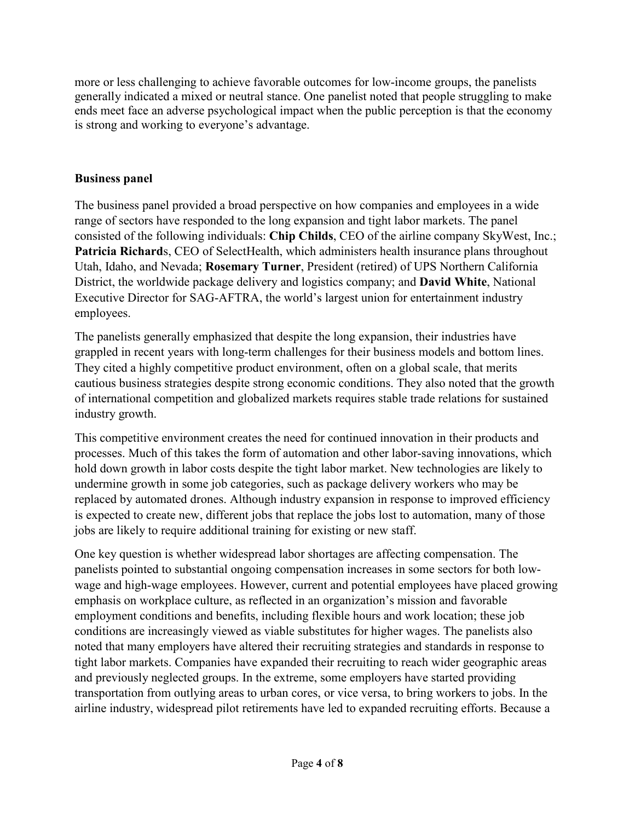more or less challenging to achieve favorable outcomes for low-income groups, the panelists generally indicated a mixed or neutral stance. One panelist noted that people struggling to make ends meet face an adverse psychological impact when the public perception is that the economy is strong and working to everyone's advantage.

## **Business panel**

The business panel provided a broad perspective on how companies and employees in a wide range of sectors have responded to the long expansion and tight labor markets. The panel consisted of the following individuals: **Chip Childs**, CEO of the airline company SkyWest, Inc.; Patricia Richards, CEO of SelectHealth, which administers health insurance plans throughout Utah, Idaho, and Nevada; **Rosemary Turner**, President (retired) of UPS Northern California District, the worldwide package delivery and logistics company; and **David White**, National Executive Director for SAG-AFTRA, the world's largest union for entertainment industry employees.

The panelists generally emphasized that despite the long expansion, their industries have grappled in recent years with long-term challenges for their business models and bottom lines. They cited a highly competitive product environment, often on a global scale, that merits cautious business strategies despite strong economic conditions. They also noted that the growth of international competition and globalized markets requires stable trade relations for sustained industry growth.

This competitive environment creates the need for continued innovation in their products and processes. Much of this takes the form of automation and other labor-saving innovations, which hold down growth in labor costs despite the tight labor market. New technologies are likely to undermine growth in some job categories, such as package delivery workers who may be replaced by automated drones. Although industry expansion in response to improved efficiency is expected to create new, different jobs that replace the jobs lost to automation, many of those jobs are likely to require additional training for existing or new staff.

One key question is whether widespread labor shortages are affecting compensation. The panelists pointed to substantial ongoing compensation increases in some sectors for both lowwage and high-wage employees. However, current and potential employees have placed growing emphasis on workplace culture, as reflected in an organization's mission and favorable employment conditions and benefits, including flexible hours and work location; these job conditions are increasingly viewed as viable substitutes for higher wages. The panelists also noted that many employers have altered their recruiting strategies and standards in response to tight labor markets. Companies have expanded their recruiting to reach wider geographic areas and previously neglected groups. In the extreme, some employers have started providing transportation from outlying areas to urban cores, or vice versa, to bring workers to jobs. In the airline industry, widespread pilot retirements have led to expanded recruiting efforts. Because a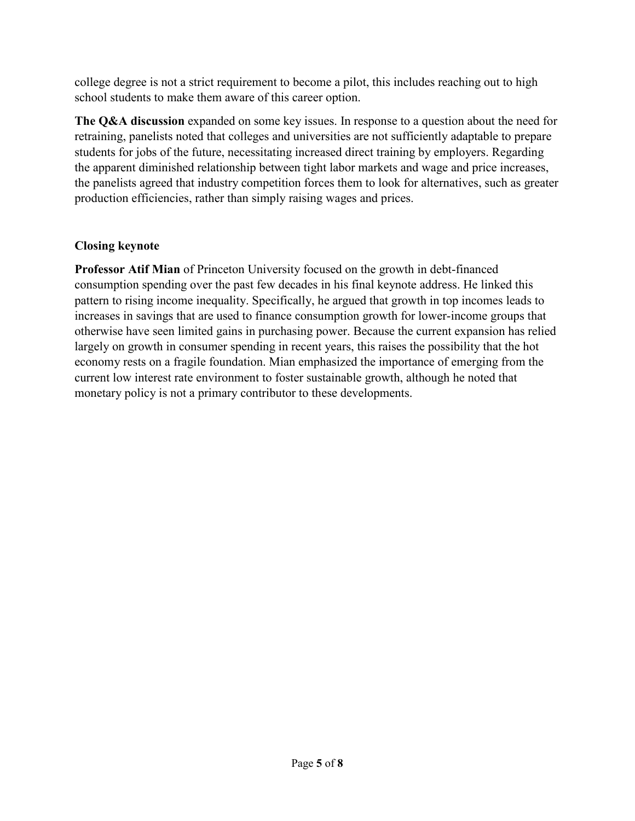college degree is not a strict requirement to become a pilot, this includes reaching out to high school students to make them aware of this career option.

**The Q&A discussion** expanded on some key issues. In response to a question about the need for retraining, panelists noted that colleges and universities are not sufficiently adaptable to prepare students for jobs of the future, necessitating increased direct training by employers. Regarding the apparent diminished relationship between tight labor markets and wage and price increases, the panelists agreed that industry competition forces them to look for alternatives, such as greater production efficiencies, rather than simply raising wages and prices.

# **Closing keynote**

**Professor Atif Mian** of Princeton University focused on the growth in debt-financed consumption spending over the past few decades in his final keynote address. He linked this pattern to rising income inequality. Specifically, he argued that growth in top incomes leads to increases in savings that are used to finance consumption growth for lower-income groups that otherwise have seen limited gains in purchasing power. Because the current expansion has relied largely on growth in consumer spending in recent years, this raises the possibility that the hot economy rests on a fragile foundation. Mian emphasized the importance of emerging from the current low interest rate environment to foster sustainable growth, although he noted that monetary policy is not a primary contributor to these developments.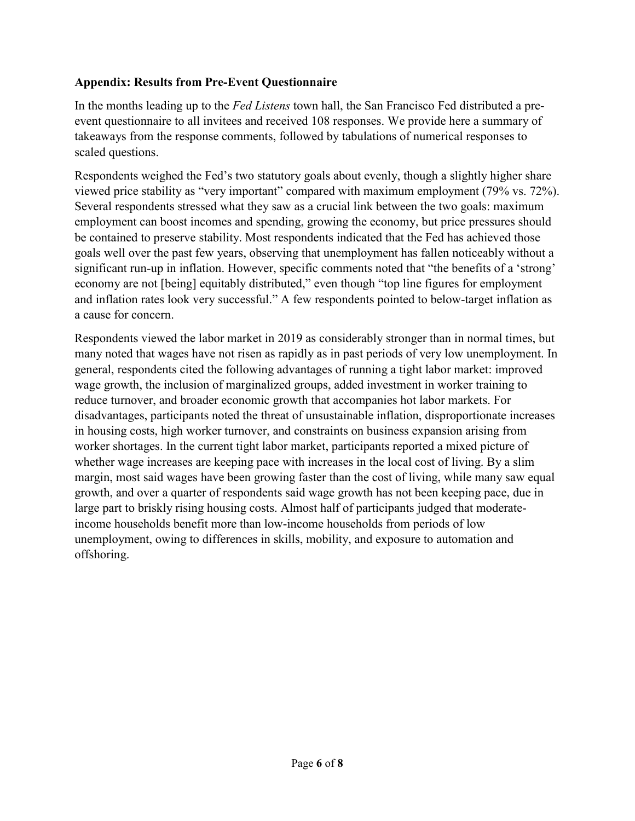# **Appendix: Results from Pre-Event Questionnaire**

In the months leading up to the *Fed Listens* town hall, the San Francisco Fed distributed a preevent questionnaire to all invitees and received 108 responses. We provide here a summary of takeaways from the response comments, followed by tabulations of numerical responses to scaled questions.

Respondents weighed the Fed's two statutory goals about evenly, though a slightly higher share viewed price stability as "very important" compared with maximum employment (79% vs. 72%). Several respondents stressed what they saw as a crucial link between the two goals: maximum employment can boost incomes and spending, growing the economy, but price pressures should be contained to preserve stability. Most respondents indicated that the Fed has achieved those goals well over the past few years, observing that unemployment has fallen noticeably without a significant run-up in inflation. However, specific comments noted that "the benefits of a 'strong' economy are not [being] equitably distributed," even though "top line figures for employment and inflation rates look very successful." A few respondents pointed to below-target inflation as a cause for concern.

Respondents viewed the labor market in 2019 as considerably stronger than in normal times, but many noted that wages have not risen as rapidly as in past periods of very low unemployment. In general, respondents cited the following advantages of running a tight labor market: improved wage growth, the inclusion of marginalized groups, added investment in worker training to reduce turnover, and broader economic growth that accompanies hot labor markets. For disadvantages, participants noted the threat of unsustainable inflation, disproportionate increases in housing costs, high worker turnover, and constraints on business expansion arising from worker shortages. In the current tight labor market, participants reported a mixed picture of whether wage increases are keeping pace with increases in the local cost of living. By a slim margin, most said wages have been growing faster than the cost of living, while many saw equal growth, and over a quarter of respondents said wage growth has not been keeping pace, due in large part to briskly rising housing costs. Almost half of participants judged that moderateincome households benefit more than low-income households from periods of low unemployment, owing to differences in skills, mobility, and exposure to automation and offshoring.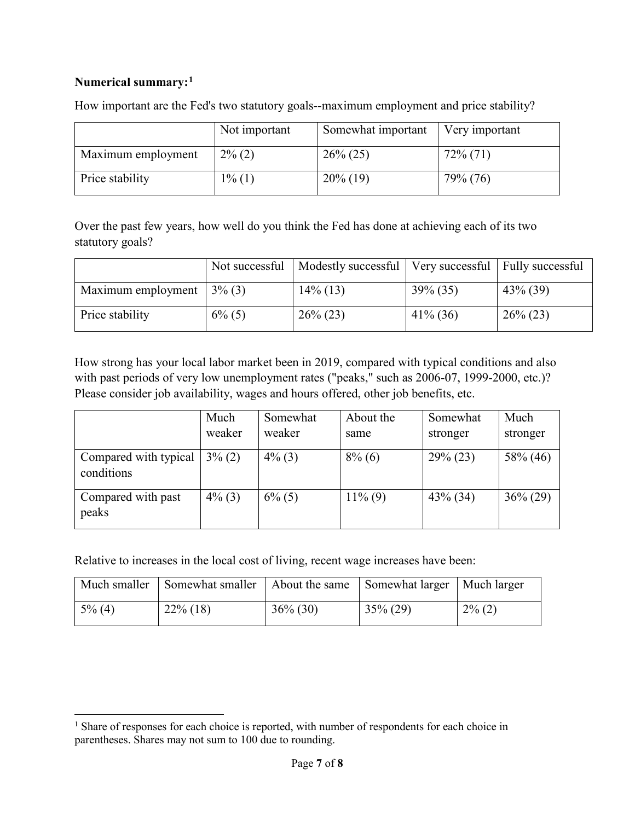### **Numerical summary:[1](#page-6-0)**

l

|                    | Not important | Somewhat important | Very important |
|--------------------|---------------|--------------------|----------------|
| Maximum employment | $2\%$ (2)     | $26\% (25)$        | $72\%$ (71)    |
| Price stability    | $1\%$ (1)     | $20\%$ (19)        | 79% (76)       |

How important are the Fed's two statutory goals--maximum employment and price stability?

Over the past few years, how well do you think the Fed has done at achieving each of its two statutory goals?

|                    | Not successful | Modestly successful   Very successful   Fully successful |             |             |
|--------------------|----------------|----------------------------------------------------------|-------------|-------------|
| Maximum employment | $3\%$ (3)      | $14\%$ (13)                                              | $39\% (35)$ | $43\%$ (39) |
| Price stability    | $6\%$ (5)      | $26\% (23)$                                              | $41\%$ (36) | $26\% (23)$ |

How strong has your local labor market been in 2019, compared with typical conditions and also with past periods of very low unemployment rates ("peaks," such as 2006-07, 1999-2000, etc.)? Please consider job availability, wages and hours offered, other job benefits, etc.

|                                     | Much<br>weaker | Somewhat<br>weaker | About the<br>same | Somewhat<br>stronger | Much<br>stronger |
|-------------------------------------|----------------|--------------------|-------------------|----------------------|------------------|
| Compared with typical<br>conditions | $3\%$ (2)      | $4\%$ (3)          | $8\%$ (6)         | $29\% (23)$          | 58% (46)         |
| Compared with past<br>peaks         | $4\%$ (3)      | $6\%$ (5)          | $11\%$ (9)        | $43\%$ (34)          | $36\% (29)$      |

Relative to increases in the local cost of living, recent wage increases have been:

|           | Much smaller   Somewhat smaller |             | About the same Somewhat larger   Much larger |           |
|-----------|---------------------------------|-------------|----------------------------------------------|-----------|
| $5\%$ (4) | $22\%$ (18)                     | $36\% (30)$ | $35\% (29)$                                  | $2\%$ (2) |

<span id="page-6-0"></span> $<sup>1</sup>$  Share of responses for each choice is reported, with number of respondents for each choice in</sup> parentheses. Shares may not sum to 100 due to rounding.